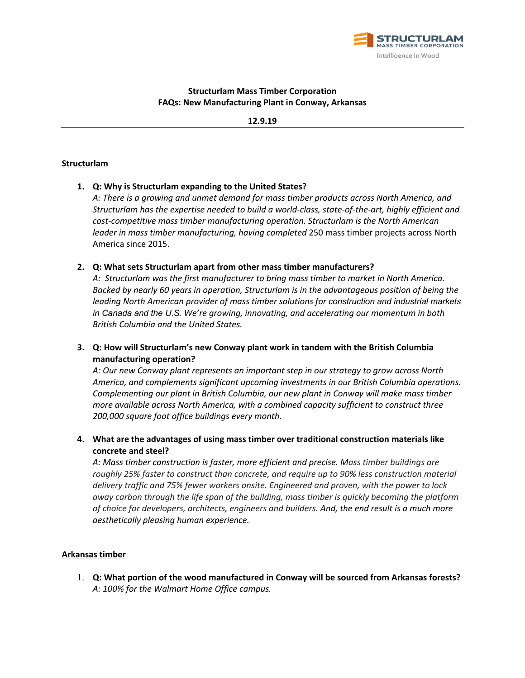

## **Structurlam Mass Timber Corporation FAQs: New Manufacturing Plant in Conway, Arkansas**

**12.9.19**

#### **Structurlam**

### **1. Q: Why is Structurlam expanding to the United States?**

*A: There is a growing and unmet demand for mass timber products across North America, and Structurlam has the expertise needed to build a world-class, state-of-the-art, highly efficient and cost-competitive mass timber manufacturing operation. Structurlam is the North American leader in mass timber manufacturing, having completed* 250 mass timber projects across North America since 2015.

#### **2. Q: What sets Structurlam apart from other mass timber manufacturers?**

*A: Structurlam was the first manufacturer to bring mass timber to market in North America. Backed by nearly 60 years in operation, Structurlam is in the advantageous position of being the leading North American provider of mass timber solutions for construction and industrial markets in Canada and the U.S. We're growing, innovating, and accelerating our momentum in both British Columbia and the United States.* 

# **3. Q: How will Structurlam's new Conway plant work in tandem with the British Columbia manufacturing operation?**

*A: Our new Conway plant represents an important step in our strategy to grow across North America, and complements significant upcoming investments in our British Columbia operations. Complementing our plant in British Columbia, our new plant in Conway will make mass timber more available across North America, with a combined capacity sufficient to construct three 200,000 square foot office buildings every month.*

**4. What are the advantages of using mass timber over traditional construction materials like concrete and steel?** 

*A: Mass timber construction is faster, more efficient and precise. Mass timber buildings are roughly 25% faster to construct than concrete, and require up to 90% less construction material delivery traffic and 75% fewer workers onsite. Engineered and proven, with the power to lock away carbon through the life span of the building, mass timber is quickly becoming the platform of choice for developers, architects, engineers and builders. And, the end result is a much more aesthetically pleasing human experience.*

### **Arkansas timber**

1. **Q: What portion of the wood manufactured in Conway will be sourced from Arkansas forests?** *A: 100% for the Walmart Home Office campus.*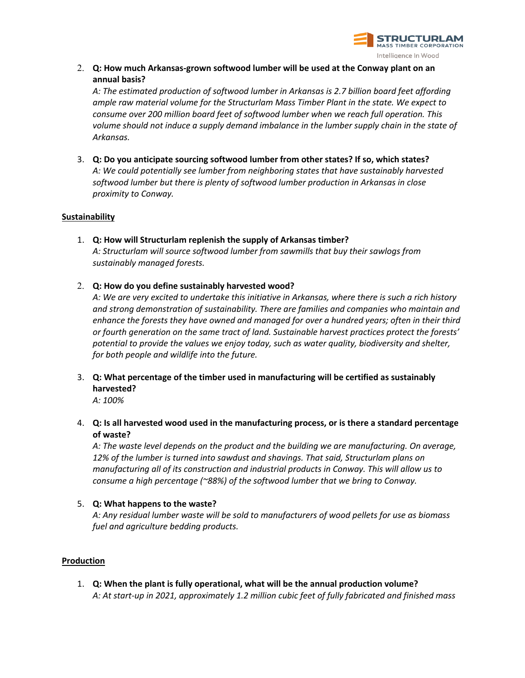

2. **Q: How much Arkansas-grown softwood lumber will be used at the Conway plant on an annual basis?** 

*A: The estimated production of softwood lumber in Arkansas is 2.7 billion board feet affording ample raw material volume for the Structurlam Mass Timber Plant in the state. We expect to consume over 200 million board feet of softwood lumber when we reach full operation. This volume should not induce a supply demand imbalance in the lumber supply chain in the state of Arkansas.*

3. **Q: Do you anticipate sourcing softwood lumber from other states? If so, which states?**  *A: We could potentially see lumber from neighboring states that have sustainably harvested softwood lumber but there is plenty of softwood lumber production in Arkansas in close proximity to Conway.*

### **Sustainability**

- 1. **Q: How will Structurlam replenish the supply of Arkansas timber?**  *A: Structurlam will source softwood lumber from sawmills that buy their sawlogs from sustainably managed forests.*
- 2. **Q: How do you define sustainably harvested wood?**

*A: We are very excited to undertake this initiative in Arkansas, where there is such a rich history and strong demonstration of sustainability. There are families and companies who maintain and enhance the forests they have owned and managed for over a hundred years; often in their third or fourth generation on the same tract of land. Sustainable harvest practices protect the forests' potential to provide the values we enjoy today, such as water quality, biodiversity and shelter, for both people and wildlife into the future.* 

3. **Q: What percentage of the timber used in manufacturing will be certified as sustainably harvested?**

*A: 100%*

4. **Q: Is all harvested wood used in the manufacturing process, or is there a standard percentage of waste?** 

*A: The waste level depends on the product and the building we are manufacturing. On average, 12% of the lumber is turned into sawdust and shavings. That said, Structurlam plans on manufacturing all of its construction and industrial products in Conway. This will allow us to consume a high percentage (~88%) of the softwood lumber that we bring to Conway.* 

5. **Q: What happens to the waste?** 

*A: Any residual lumber waste will be sold to manufacturers of wood pellets for use as biomass fuel and agriculture bedding products.*

### **Production**

1. **Q: When the plant is fully operational, what will be the annual production volume?** *A: At start-up in 2021, approximately 1.2 million cubic feet of fully fabricated and finished mass*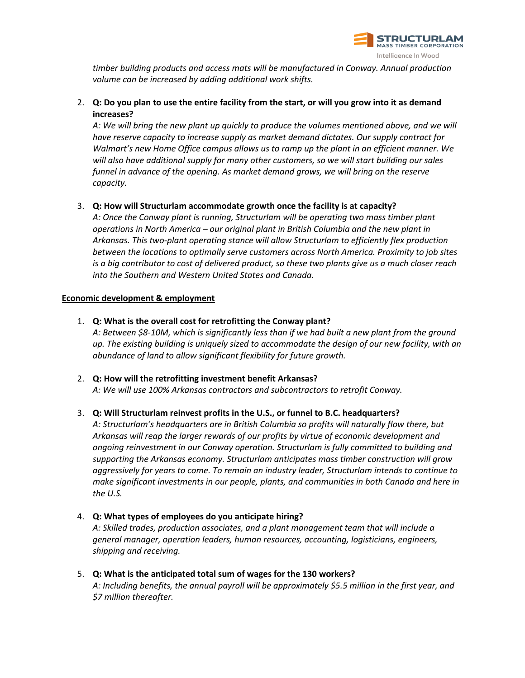

*timber building products and access mats will be manufactured in Conway. Annual production volume can be increased by adding additional work shifts.* 

# 2. **Q: Do you plan to use the entire facility from the start, or will you grow into it as demand increases?**

*A: We will bring the new plant up quickly to produce the volumes mentioned above, and we will have reserve capacity to increase supply as market demand dictates. Our supply contract for Walmart's new Home Office campus allows us to ramp up the plant in an efficient manner. We will also have additional supply for many other customers, so we will start building our sales funnel in advance of the opening. As market demand grows, we will bring on the reserve capacity.*

### 3. **Q: How will Structurlam accommodate growth once the facility is at capacity?**

*A: Once the Conway plant is running, Structurlam will be operating two mass timber plant operations in North America – our original plant in British Columbia and the new plant in Arkansas. This two-plant operating stance will allow Structurlam to efficiently flex production between the locations to optimally serve customers across North America. Proximity to job sites is a big contributor to cost of delivered product, so these two plants give us a much closer reach into the Southern and Western United States and Canada.*

### **Economic development & employment**

1. **Q: What is the overall cost for retrofitting the Conway plant?**

*A: Between \$8-10M, which is significantly less than if we had built a new plant from the ground up. The existing building is uniquely sized to accommodate the design of our new facility, with an abundance of land to allow significant flexibility for future growth.*

2. **Q: How will the retrofitting investment benefit Arkansas?**  *A: We will use 100% Arkansas contractors and subcontractors to retrofit Conway.* 

### 3. **Q: Will Structurlam reinvest profits in the U.S., or funnel to B.C. headquarters?**

*A: Structurlam's headquarters are in British Columbia so profits will naturally flow there, but Arkansas will reap the larger rewards of our profits by virtue of economic development and ongoing reinvestment in our Conway operation. Structurlam is fully committed to building and supporting the Arkansas economy. Structurlam anticipates mass timber construction will grow aggressively for years to come. To remain an industry leader, Structurlam intends to continue to make significant investments in our people, plants, and communities in both Canada and here in the U.S.*

- 4. **Q: What types of employees do you anticipate hiring?**  *A: Skilled trades, production associates, and a plant management team that will include a general manager, operation leaders, human resources, accounting, logisticians, engineers, shipping and receiving.*
- 5. **Q: What is the anticipated total sum of wages for the 130 workers?**  *A: Including benefits, the annual payroll will be approximately \$5.5 million in the first year, and \$7 million thereafter.*